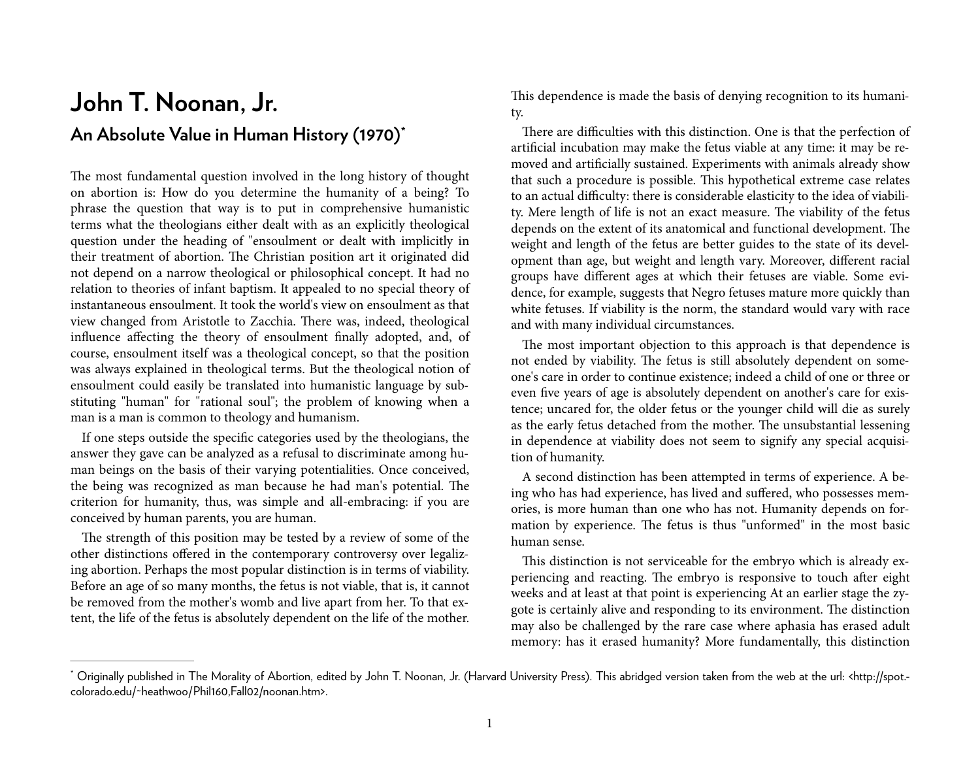## **John T. Noonan, Jr. An Absolute Value in Human History (1970)[\\*](#page-0-0)**

The most fundamental question involved in the long history of thought on abortion is: How do you determine the humanity of a being? To phrase the question that way is to put in comprehensive humanistic terms what the theologians either dealt with as an explicitly theological question under the heading of "ensoulment or dealt with implicitly in their treatment of abortion. The Christian position art it originated did not depend on a narrow theological or philosophical concept. It had no relation to theories of infant baptism. It appealed to no special theory of instantaneous ensoulment. It took the world's view on ensoulment as that view changed from Aristotle to Zacchia. There was, indeed, theological influence affecting the theory of ensoulment finally adopted, and, of course, ensoulment itself was a theological concept, so that the position was always explained in theological terms. But the theological notion of ensoulment could easily be translated into humanistic language by substituting "human" for "rational soul"; the problem of knowing when a man is a man is common to theology and humanism.

If one steps outside the specific categories used by the theologians, the answer they gave can be analyzed as a refusal to discriminate among human beings on the basis of their varying potentialities. Once conceived, the being was recognized as man because he had man's potential. The criterion for humanity, thus, was simple and all-embracing: if you are conceived by human parents, you are human.

The strength of this position may be tested by a review of some of the other distinctions offered in the contemporary controversy over legalizing abortion. Perhaps the most popular distinction is in terms of viability. Before an age of so many months, the fetus is not viable, that is, it cannot be removed from the mother's womb and live apart from her. To that extent, the life of the fetus is absolutely dependent on the life of the mother. This dependence is made the basis of denying recognition to its humanity.

<span id="page-0-1"></span>There are difficulties with this distinction. One is that the perfection of artificial incubation may make the fetus viable at any time: it may be removed and artificially sustained. Experiments with animals already show that such a procedure is possible. This hypothetical extreme case relates to an actual difficulty: there is considerable elasticity to the idea of viability. Mere length of life is not an exact measure. The viability of the fetus depends on the extent of its anatomical and functional development. The weight and length of the fetus are better guides to the state of its development than age, but weight and length vary. Moreover, different racial groups have different ages at which their fetuses are viable. Some evidence, for example, suggests that Negro fetuses mature more quickly than white fetuses. If viability is the norm, the standard would vary with race and with many individual circumstances.

The most important objection to this approach is that dependence is not ended by viability. The fetus is still absolutely dependent on someone's care in order to continue existence; indeed a child of one or three or even five years of age is absolutely dependent on another's care for existence; uncared for, the older fetus or the younger child will die as surely as the early fetus detached from the mother. The unsubstantial lessening in dependence at viability does not seem to signify any special acquisition of humanity.

A second distinction has been attempted in terms of experience. A being who has had experience, has lived and suffered, who possesses memories, is more human than one who has not. Humanity depends on formation by experience. The fetus is thus "unformed" in the most basic human sense.

This distinction is not serviceable for the embryo which is already experiencing and reacting. The embryo is responsive to touch after eight weeks and at least at that point is experiencing At an earlier stage the zygote is certainly alive and responding to its environment. The distinction may also be challenged by the rare case where aphasia has erased adult memory: has it erased humanity? More fundamentally, this distinction

<span id="page-0-0"></span>Originally published in The Morality of Abortion, edited by John T. Noonan, Jr. (Harvard University Press). This abridged version taken from the web at the url: <http://spot. [\\*](#page-0-1) colorado.edu/~heathwoo/Phil160,Fall02/noonan.htm>.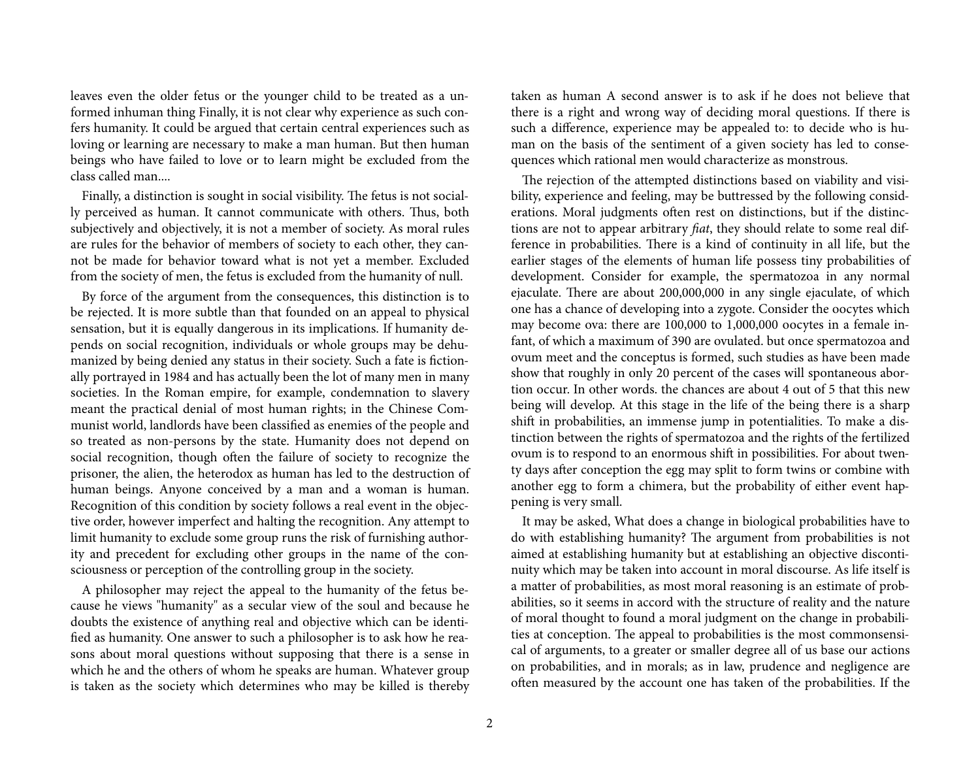leaves even the older fetus or the younger child to be treated as a unformed inhuman thing Finally, it is not clear why experience as such confers humanity. It could be argued that certain central experiences such as loving or learning are necessary to make a man human. But then human beings who have failed to love or to learn might be excluded from the class called man....

Finally, a distinction is sought in social visibility. The fetus is not socially perceived as human. It cannot communicate with others. Tus, both subjectively and objectively, it is not a member of society. As moral rules are rules for the behavior of members of society to each other, they cannot be made for behavior toward what is not yet a member. Excluded from the society of men, the fetus is excluded from the humanity of null.

By force of the argument from the consequences, this distinction is to be rejected. It is more subtle than that founded on an appeal to physical sensation, but it is equally dangerous in its implications. If humanity depends on social recognition, individuals or whole groups may be dehumanized by being denied any status in their society. Such a fate is fictionally portrayed in 1984 and has actually been the lot of many men in many societies. In the Roman empire, for example, condemnation to slavery meant the practical denial of most human rights; in the Chinese Communist world, landlords have been classified as enemies of the people and so treated as non-persons by the state. Humanity does not depend on social recognition, though ofen the failure of society to recognize the prisoner, the alien, the heterodox as human has led to the destruction of human beings. Anyone conceived by a man and a woman is human. Recognition of this condition by society follows a real event in the objective order, however imperfect and halting the recognition. Any attempt to limit humanity to exclude some group runs the risk of furnishing authority and precedent for excluding other groups in the name of the consciousness or perception of the controlling group in the society.

A philosopher may reject the appeal to the humanity of the fetus because he views "humanity" as a secular view of the soul and because he doubts the existence of anything real and objective which can be identified as humanity. One answer to such a philosopher is to ask how he reasons about moral questions without supposing that there is a sense in which he and the others of whom he speaks are human. Whatever group is taken as the society which determines who may be killed is thereby

taken as human A second answer is to ask if he does not believe that there is a right and wrong way of deciding moral questions. If there is such a difference, experience may be appealed to: to decide who is human on the basis of the sentiment of a given society has led to consequences which rational men would characterize as monstrous.

The rejection of the attempted distinctions based on viability and visibility, experience and feeling, may be buttressed by the following considerations. Moral judgments ofen rest on distinctions, but if the distinctions are not to appear arbitrary fi*at*, they should relate to some real difference in probabilities. There is a kind of continuity in all life, but the earlier stages of the elements of human life possess tiny probabilities of development. Consider for example, the spermatozoa in any normal ejaculate. There are about 200,000,000 in any single ejaculate, of which one has a chance of developing into a zygote. Consider the oocytes which may become ova: there are 100,000 to 1,000,000 oocytes in a female infant, of which a maximum of 390 are ovulated. but once spermatozoa and ovum meet and the conceptus is formed, such studies as have been made show that roughly in only 20 percent of the cases will spontaneous abortion occur. In other words. the chances are about 4 out of 5 that this new being will develop. At this stage in the life of the being there is a sharp shift in probabilities, an immense jump in potentialities. To make a distinction between the rights of spermatozoa and the rights of the fertilized ovum is to respond to an enormous shift in possibilities. For about twenty days afer conception the egg may split to form twins or combine with another egg to form a chimera, but the probability of either event happening is very small.

It may be asked, What does a change in biological probabilities have to do with establishing humanity? The argument from probabilities is not aimed at establishing humanity but at establishing an objective discontinuity which may be taken into account in moral discourse. As life itself is a matter of probabilities, as most moral reasoning is an estimate of probabilities, so it seems in accord with the structure of reality and the nature of moral thought to found a moral judgment on the change in probabilities at conception. The appeal to probabilities is the most commonsensical of arguments, to a greater or smaller degree all of us base our actions on probabilities, and in morals; as in law, prudence and negligence are ofen measured by the account one has taken of the probabilities. If the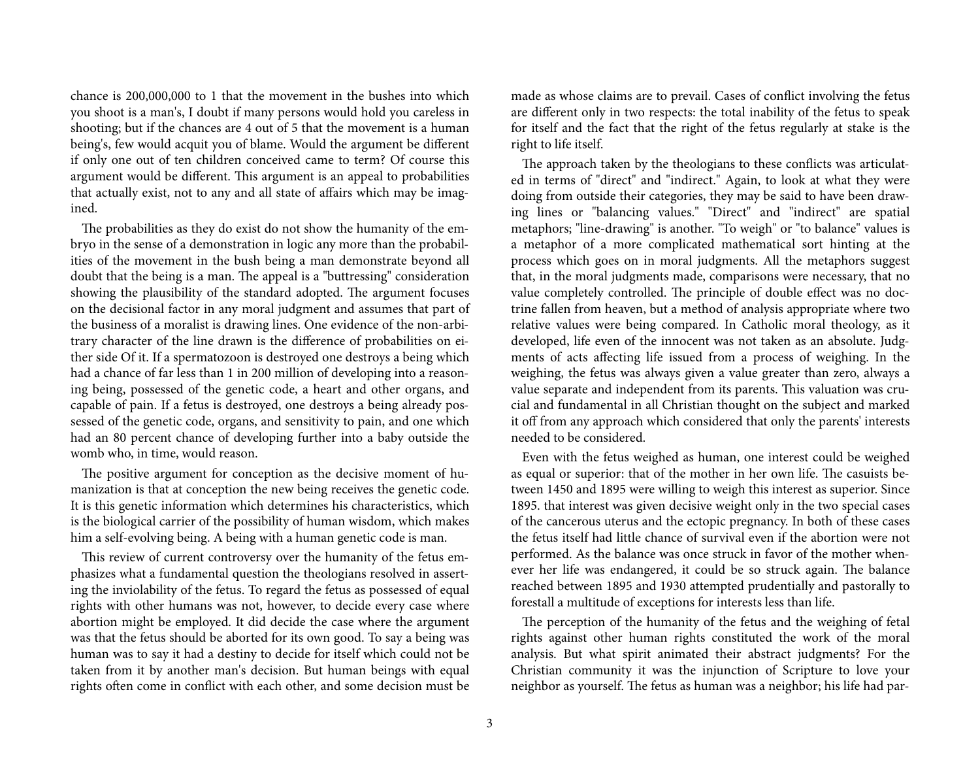chance is 200,000,000 to 1 that the movement in the bushes into which you shoot is a man's, I doubt if many persons would hold you careless in shooting; but if the chances are 4 out of 5 that the movement is a human being's, few would acquit you of blame. Would the argument be different if only one out of ten children conceived came to term? Of course this argument would be different. This argument is an appeal to probabilities that actually exist, not to any and all state of affairs which may be imagined.

The probabilities as they do exist do not show the humanity of the embryo in the sense of a demonstration in logic any more than the probabilities of the movement in the bush being a man demonstrate beyond all doubt that the being is a man. The appeal is a "buttressing" consideration showing the plausibility of the standard adopted. The argument focuses on the decisional factor in any moral judgment and assumes that part of the business of a moralist is drawing lines. One evidence of the non-arbitrary character of the line drawn is the difference of probabilities on either side Of it. If a spermatozoon is destroyed one destroys a being which had a chance of far less than 1 in 200 million of developing into a reasoning being, possessed of the genetic code, a heart and other organs, and capable of pain. If a fetus is destroyed, one destroys a being already possessed of the genetic code, organs, and sensitivity to pain, and one which had an 80 percent chance of developing further into a baby outside the womb who, in time, would reason.

The positive argument for conception as the decisive moment of humanization is that at conception the new being receives the genetic code. It is this genetic information which determines his characteristics, which is the biological carrier of the possibility of human wisdom, which makes him a self-evolving being. A being with a human genetic code is man.

This review of current controversy over the humanity of the fetus emphasizes what a fundamental question the theologians resolved in asserting the inviolability of the fetus. To regard the fetus as possessed of equal rights with other humans was not, however, to decide every case where abortion might be employed. It did decide the case where the argument was that the fetus should be aborted for its own good. To say a being was human was to say it had a destiny to decide for itself which could not be taken from it by another man's decision. But human beings with equal rights often come in conflict with each other, and some decision must be

made as whose claims are to prevail. Cases of conflict involving the fetus are different only in two respects: the total inability of the fetus to speak for itself and the fact that the right of the fetus regularly at stake is the right to life itself.

The approach taken by the theologians to these conflicts was articulated in terms of "direct" and "indirect." Again, to look at what they were doing from outside their categories, they may be said to have been drawing lines or "balancing values." "Direct" and "indirect" are spatial metaphors; "line-drawing" is another. "To weigh" or "to balance" values is a metaphor of a more complicated mathematical sort hinting at the process which goes on in moral judgments. All the metaphors suggest that, in the moral judgments made, comparisons were necessary, that no value completely controlled. The principle of double effect was no doctrine fallen from heaven, but a method of analysis appropriate where two relative values were being compared. In Catholic moral theology, as it developed, life even of the innocent was not taken as an absolute. Judgments of acts affecting life issued from a process of weighing. In the weighing, the fetus was always given a value greater than zero, always a value separate and independent from its parents. This valuation was crucial and fundamental in all Christian thought on the subject and marked it off from any approach which considered that only the parents' interests needed to be considered.

Even with the fetus weighed as human, one interest could be weighed as equal or superior: that of the mother in her own life. The casuists between 1450 and 1895 were willing to weigh this interest as superior. Since 1895. that interest was given decisive weight only in the two special cases of the cancerous uterus and the ectopic pregnancy. In both of these cases the fetus itself had little chance of survival even if the abortion were not performed. As the balance was once struck in favor of the mother whenever her life was endangered, it could be so struck again. The balance reached between 1895 and 1930 attempted prudentially and pastorally to forestall a multitude of exceptions for interests less than life.

The perception of the humanity of the fetus and the weighing of fetal rights against other human rights constituted the work of the moral analysis. But what spirit animated their abstract judgments? For the Christian community it was the injunction of Scripture to love your neighbor as yourself. The fetus as human was a neighbor; his life had par-